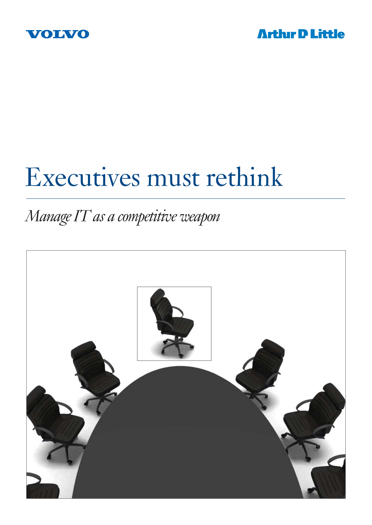



# Executives must rethink

### *Manage IT as a competitive weapon*

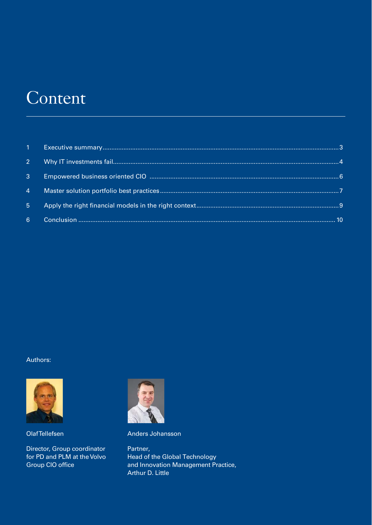### Content

| $2^{\circ}$    |  |
|----------------|--|
| $\mathbf{3}$   |  |
| $\overline{4}$ |  |
| 5 <sup>1</sup> |  |
| 6 <sup>1</sup> |  |

#### Authors:



Olaf Tellefsen

Director, Group coordinator for PD and PLM at the Volvo Group CIO office



Anders Johansson

Partner, Head of the Global Technology and Innovation Management Practice, Arthur D. Little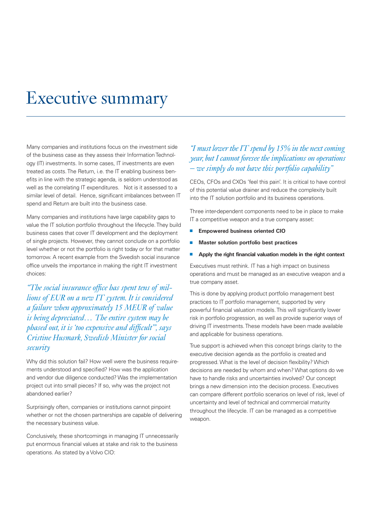### Executive summary

Many companies and institutions focus on the investment side of the business case as they assess their Information Technology (IT) investments. In some cases, IT investments are even treated as costs. The Return, i.e. the IT enabling business benefits in line with the strategic agenda, is seldom understood as well as the correlating IT expenditures. Not is it assessed to a similar level of detail. Hence, significant imbalances between IT spend and Return are built into the business case.

Many companies and institutions have large capability gaps to value the IT solution portfolio throughout the lifecycle. They build business cases that cover IT development and the deployment of single projects. However, they cannot conclude on a portfolio level whether or not the portfolio is right today or for that matter tomorrow. A recent example from the Swedish social insurance office unveils the importance in making the right IT investment choices:

"The social insurance office has spent tens of mil*lions of EUR on a new IT system. It is considered a failure when approximately 15 MEUR of value is being depreciated… The entire system may be phased out, it is 'too expensive and difficult", says Cristine Husmark, Swedish Minister for social security* 

Why did this solution fail? How well were the business requirements understood and specified? How was the application and vendor due diligence conducted? Was the implementation project cut into small pieces? If so, why was the project not abandoned earlier?

Surprisingly often, companies or institutions cannot pinpoint whether or not the chosen partnerships are capable of delivering the necessary business value.

Conclusively, these shortcomings in managing IT unnecessarily put enormous financial values at stake and risk to the business operations. As stated by a Volvo CIO:

### *"I must lower the IT spend by 15% in the next coming year, but I cannot foresee the implications on operations – we simply do not have this portfolio capability"*

CEOs, CFOs and CXOs 'feel this pain'. It is critical to have control of this potential value drainer and reduce the complexity built into the IT solution portfolio and its business operations.

Three inter-dependent components need to be in place to make IT a competitive weapon and a true company asset:

- **Empowered business oriented CIO**
- **Master solution portfolio best practices**
- **Apply the right financial valuation models in the right context**

Executives must rethink. IT has a high impact on business operations and must be managed as an executive weapon and a true company asset.

This is done by applying product portfolio management best practices to IT portfolio management, supported by very powerful financial valuation models. This will significantly lower risk in portfolio progression, as well as provide superior ways of driving IT investments. These models have been made available and applicable for business operations.

True support is achieved when this concept brings clarity to the executive decision agenda as the portfolio is created and progressed. What is the level of decision flexibility? Which decisions are needed by whom and when? What options do we have to handle risks and uncertainties involved? Our concept brings a new dimension into the decision process. Executives can compare different portfolio scenarios on level of risk, level of uncertainty and level of technical and commercial maturity throughout the lifecycle. IT can be managed as a competitive weapon.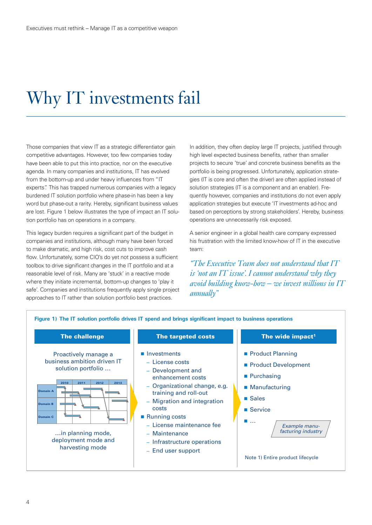## Why IT investments fail

Those companies that view IT as a strategic differentiator gain competitive advantages. However, too few companies today have been able to put this into practice, nor on the executive agenda. In many companies and institutions, IT has evolved from the bottom-up and under heavy influences from "IT experts". This has trapped numerous companies with a legacy burdened IT solution portfolio where phase-in has been a key word but phase-out a rarity. Hereby, significant business values are lost. Figure 1 below illustrates the type of impact an IT solution portfolio has on operations in a company.

This legacy burden requires a significant part of the budget in companies and institutions, although many have been forced to make dramatic, and high risk, cost cuts to improve cash flow. Unfortunately, some CIO's do yet not possess a sufficient toolbox to drive significant changes in the IT portfolio and at a reasonable level of risk. Many are 'stuck' in a reactive mode where they initiate incremental, bottom-up changes to 'play it safe'. Companies and institutions frequently apply single project approaches to IT rather than solution portfolio best practices.

In addition, they often deploy large IT projects, justified through high level expected business benefits, rather than smaller projects to secure 'true' and concrete business benefits as the portfolio is being progressed. Unfortunately, application strategies (IT is core and often the driver) are often applied instead of solution strategies (IT is a component and an enabler). Frequently however, companies and institutions do not even apply application strategies but execute 'IT investments ad-hoc and based on perceptions by strong stakeholders'. Hereby, business operations are unnecessarily risk exposed.

A senior engineer in a global health care company expressed his frustration with the limited know-how of IT in the executive team:

*"The Executive Team does not understand that IT is 'not an IT issue'. I cannot understand why they avoid building know-how – we invest millions in IT annually"* 

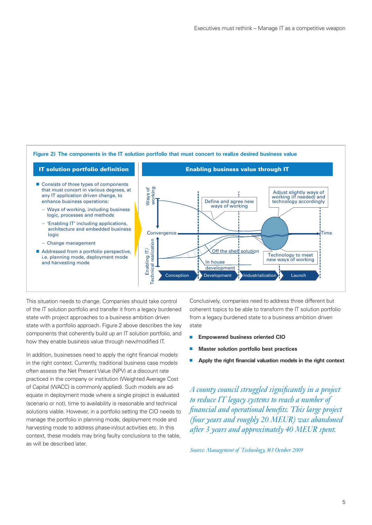

This situation needs to change. Companies should take control of the IT solution portfolio and transfer it from a legacy burdened state with project approaches to a business ambition driven state with a portfolio approach. Figure 2 above describes the key components that coherently build up an IT solution portfolio, and how they enable business value through new/modified IT.

In addition, businesses need to apply the right financial models in the right context. Currently, traditional business case models often assess the Net Present Value (NPV) at a discount rate practiced in the company or institution (Weighted Average Cost of Capital (WACC) is commonly applied). Such models are adequate in deployment mode where a single project is evaluated (scenario or not), time to availability is reasonable and technical solutions viable. However, in a portfolio setting the CIO needs to manage the portfolio in planning mode, deployment mode and harvesting mode to address phase-in/out activities etc. In this context, these models may bring faulty conclusions to the table, as will be described later.

Conclusively, companies need to address three different but coherent topics to be able to transform the IT solution portfolio from a legacy burdened state to a business ambition driven state

- **Empowered business oriented CIO**
- **Master solution portfolio best practices**
- **Apply the right financial valuation models in the right context**

*A county council struggled signifi cantly in a project to reduce IT legacy systems to reach a number of fi nancial and operational benefi ts. This large project (four years and roughly 20 MEUR) was abandoned after 3 years and approximately 40 MEUR spent.* 

*Source: Management of Technology, #3 October 2009*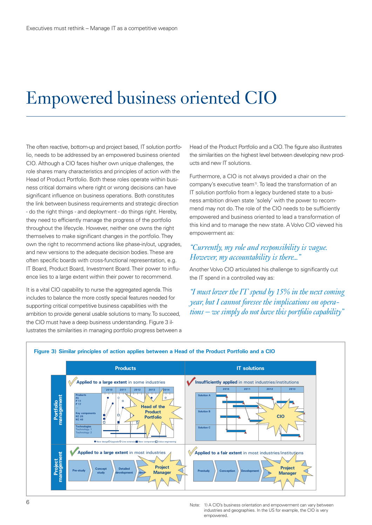### Empowered business oriented CIO

The often reactive, bottom-up and project based, IT solution portfolio, needs to be addressed by an empowered business oriented CIO. Although a CIO faces his/her own unique challenges, the role shares many characteristics and principles of action with the Head of Product Portfolio. Both these roles operate within business critical domains where right or wrong decisions can have significant influence on business operations. Both constitutes the link between business requirements and strategic direction - do the right things - and deployment - do things right. Hereby, they need to efficiently manage the progress of the portfolio throughout the lifecycle. However, neither one owns the right themselves to make significant changes in the portfolio. They own the right to recommend actions like phase-in/out, upgrades, and new versions to the adequate decision bodies. These are often specific boards with cross-functional representation, e.g. IT Board, Product Board, Investment Board. Their power to influence lies to a large extent within their power to recommend.

It is a vital CIO capability to nurse the aggregated agenda. This includes to balance the more costly special features needed for supporting critical competitive business capabilities with the ambition to provide general usable solutions to many. To succeed, the CIO must have a deep business understanding. Figure 3 illustrates the similarities in managing portfolio progress between a Head of the Product Portfolio and a CIO. The figure also illustrates the similarities on the highest level between developing new products and new IT solutions.

Furthermore, a CIO is not always provided a chair on the company's executive team<sup>1)</sup>. To lead the transformation of an IT solution portfolio from a legacy burdened state to a business ambition driven state 'solely' with the power to recommend may not do. The role of the CIO needs to be sufficiently empowered and business oriented to lead a transformation of this kind and to manage the new state. A Volvo CIO viewed his empowerment as:

### *"Currently, my role and responsibility is vague. However, my accountability is there..."*

Another Volvo CIO articulated his challenge to significantly cut the IT spend in a controlled way as:

*"I must lower the IT spend by 15% in the next coming year, but I cannot foresee the implications on operations – we simply do not have this portfolio capability"*



#### **Figure 3) Similar principles of action applies between a Head of the Product Portfolio and a CIO**

Note: 1) A CIO's business orientation and empowerment can vary between industries and geographies. In the US for example, the CIO is very empowered.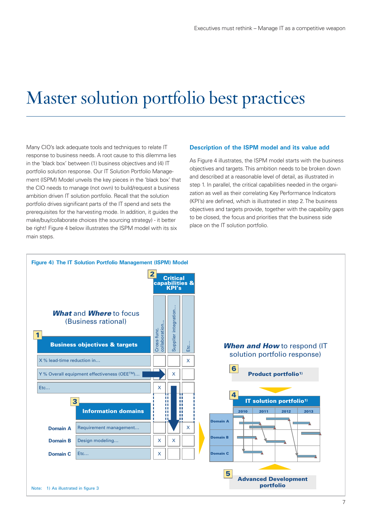### Master solution portfolio best practices

Many CIO's lack adequate tools and techniques to relate IT response to business needs. A root cause to this dilemma lies in the 'black box' between (1) business objectives and (4) IT portfolio solution response. Our IT Solution Portfolio Management (ISPM) Model unveils the key pieces in the 'black box' that the CIO needs to manage (not own) to build/request a business ambition driven IT solution portfolio. Recall that the solution portfolio drives significant parts of the IT spend and sets the prerequisites for the harvesting mode. In addition, it guides the make/buy/collaborate choices (the sourcing strategy) - it better be right! Figure 4 below illustrates the ISPM model with its six main steps.

#### **Description of the ISPM model and its value add**

As Figure 4 illustrates, the ISPM model starts with the business objectives and targets. This ambition needs to be broken down and described at a reasonable level of detail, as illustrated in step 1. In parallel, the critical capabilities needed in the organization as well as their correlating Key Performance Indicators (KPI's) are defined, which is illustrated in step 2. The business objectives and targets provide, together with the capability gaps to be closed, the focus and priorities that the business side place on the IT solution portfolio.

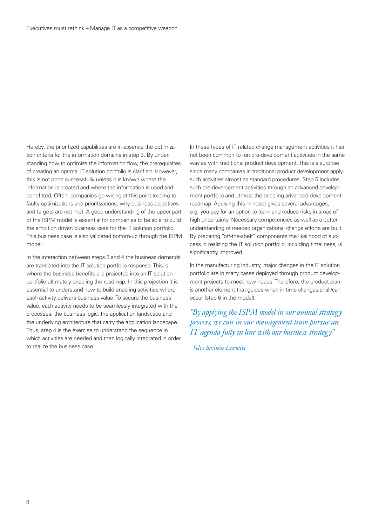Hereby, the prioritized capabilities are in essence the optimization criteria for the information domains in step 3. By understanding how to optimize the information flow, the prerequisites of creating an optimal IT solution portfolio is clarified. However, this is not done successfully unless it is known where the information is created and where the information is used and benefitted. Often, companies go wrong at this point leading to faulty optimizations and prioritizations, why business objectives and targets are not met. A good understanding of the upper part of the ISPM model is essential for companies to be able to build the ambition driven business case for the IT solution portfolio. This business case is also validated bottom-up through the ISPM model.

In the interaction between steps 3 and 4 the business demands are translated into the IT solution portfolio response. This is where the business benefits are projected into an IT solution portfolio ultimately enabling the roadmap. In this projection it is essential to understand how to build enabling activities where each activity delivers business value. To secure the business value, each activity needs to be seamlessly integrated with the processes, the business logic, the application landscape and the underlying architecture that carry the application landscape. Thus, step 4 is the exercise to understand the sequence in which activities are needed and then logically integrated in order to realize the business case.

In these types of IT related change management activities it has not been common to run pre-development activities in the same way as with traditional product development. This is a surprise since many companies in traditional product development apply such activities almost as standard procedures. Step 5 includes such pre-development activities through an advanced development portfolio and utmost the enabling advanced development roadmap. Applying this mindset gives several advantages, e.g. you pay for an option to learn and reduce risks in areas of high uncertainty. Necessary competencies as well as a better understanding of needed organizational change efforts are built. By preparing "off-the-shelf" components the likelihood of success in realizing the IT solution portfolio, including timeliness, is significantly improved.

In the manufacturing industry, major changes in the IT solution portfolio are in many cases deployed through product development projects to meet new needs. Therefore, the product plan is another element that guides when in time changes shall/can occur (step 6 in the model).

*"By applying the ISPM model in our annual strategy process, we can in our management team pursue an IT agenda fully in line with our business strategy"*

*–Volvo Business Executive*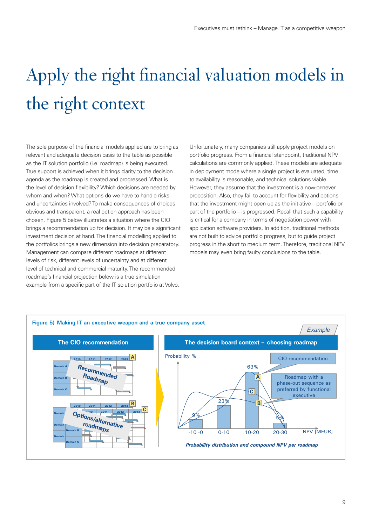# Apply the right financial valuation models in the right context

The sole purpose of the financial models applied are to bring as relevant and adequate decision basis to the table as possible as the IT solution portfolio (i.e. roadmap) is being executed. True support is achieved when it brings clarity to the decision agenda as the roadmap is created and progressed. What is the level of decision flexibility? Which decisions are needed by whom and when? What options do we have to handle risks and uncertainties involved? To make consequences of choices obvious and transparent, a real option approach has been chosen. Figure 5 below illustrates a situation where the CIO brings a recommendation up for decision. It may be a significant investment decision at hand. The financial modelling applied to the portfolios brings a new dimension into decision preparatory. Management can compare different roadmaps at different levels of risk, different levels of uncertainty and at different level of technical and commercial maturity. The recommended roadmap's financial projection below is a true simulation example from a specific part of the IT solution portfolio at Volvo.

Unfortunately, many companies still apply project models on portfolio progress. From a financial standpoint, traditional NPV calculations are commonly applied. These models are adequate in deployment mode where a single project is evaluated, time to availability is reasonable, and technical solutions viable. However, they assume that the investment is a now-or-never proposition. Also, they fail to account for flexibility and options that the investment might open up as the initiative – portfolio or part of the portfolio – is progressed. Recall that such a capability is critical for a company in terms of negotiation power with application software providers. In addition, traditional methods are not built to advice portfolio progress, but to guide project progress in the short to medium term. Therefore, traditional NPV models may even bring faulty conclusions to the table.

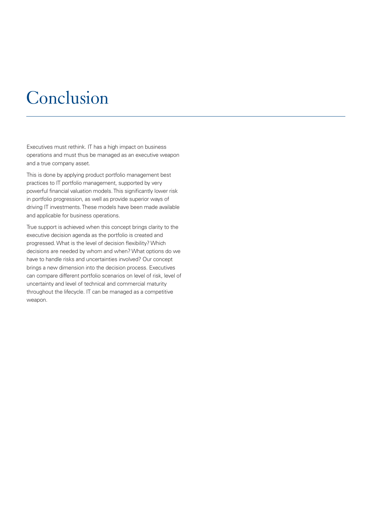## Conclusion

Executives must rethink. IT has a high impact on business operations and must thus be managed as an executive weapon and a true company asset.

This is done by applying product portfolio management best practices to IT portfolio management, supported by very powerful financial valuation models. This significantly lower risk in portfolio progression, as well as provide superior ways of driving IT investments. These models have been made available and applicable for business operations.

True support is achieved when this concept brings clarity to the executive decision agenda as the portfolio is created and progressed. What is the level of decision flexibility? Which decisions are needed by whom and when? What options do we have to handle risks and uncertainties involved? Our concept brings a new dimension into the decision process. Executives can compare different portfolio scenarios on level of risk, level of uncertainty and level of technical and commercial maturity throughout the lifecycle. IT can be managed as a competitive weapon.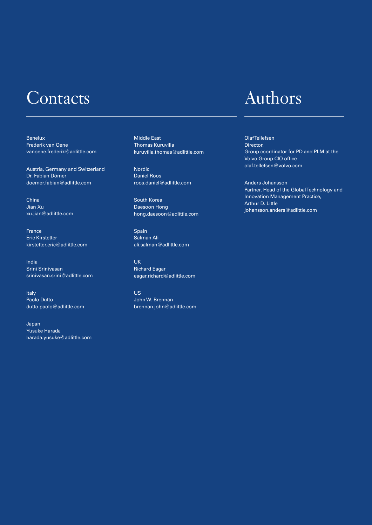### Contacts

Benelux Frederik van Oene vanoene.frederik@adlittle.com

Austria, Germany and Switzerland Dr. Fabian Dömer doemer.fabian@adlittle.com

China Jian Xu xu.jian@adlittle.com

France Eric Kirstetter kirstetter.eric@adlittle.com

India Srini Srinivasan srinivasan.srini@adlittle.com

Italy Paolo Dutto dutto.paolo@adlittle.com

Japan Yusuke Harada harada.yusuke@adlittle.com Middle East Thomas Kuruvilla kuruvilla.thomas@adlittle.com

Nordic Daniel Roos roos.daniel@adlittle.com

South Korea Daesoon Hong hong.daesoon@adlittle.com

Spain Salman Ali ali.salman@adlittle.com

UK Richard Eagar eagar.richard@adlittle.com

US John W. Brennan brennan.john@adlittle.com

### Authors

Olaf Tellefsen Director, Group coordinator for PD and PLM at the Volvo Group CIO office olaf.tellefsen@volvo.com

Anders Johansson Partner, Head of the Global Technology and Innovation Management Practice, Arthur D. Little johansson.anders@adlittle.com